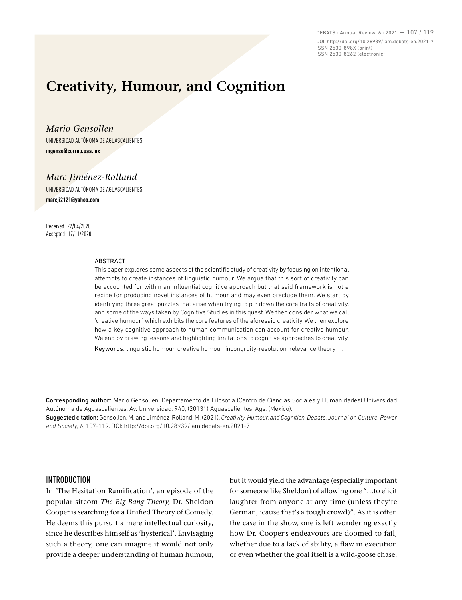DEBATS · Annual Review, 6 · 2021 — 107 / 119 DOI: http://doi.org/10.28939/iam.debats-en.2021-7 ISSN 2530-898X (print) ISSN 2530-8262 (electronic)

# **Creativity, Humour, and Cognition**

*Mario Gensollen* UNIVERSIDAD AUTÓNOMA DE AGUASCALIENTES **mgenso@correo.uaa.mx** 

*Marc Jiménez-Rolland* 

UNIVERSIDAD AUTÓNOMA DE AGUASCALIENTES **marcji2121@yahoo.com**

Received: 27/04/2020 Accepted: 17/11/2020

#### **ARSTRACT**

This paper explores some aspects of the scientific study of creativity by focusing on intentional attempts to create instances of linguistic humour. We argue that this sort of creativity can be accounted for within an influential cognitive approach but that said framework is not a recipe for producing novel instances of humour and may even preclude them. We start by identifying three great puzzles that arise when trying to pin down the core traits of creativity, and some of the ways taken by Cognitive Studies in this quest. We then consider what we call 'creative humour', which exhibits the core features of the aforesaid creativity. We then explore how a key cognitive approach to human communication can account for creative humour. We end by drawing lessons and highlighting limitations to cognitive approaches to creativity.

Keywords: linguistic humour, creative humour, incongruity-resolution, relevance theory .

Corresponding author: Mario Gensollen, Departamento de Filosofía (Centro de Ciencias Sociales y Humanidades) Universidad Autónoma de Aguascalientes. Av. Universidad, 940, (20131) Aguascalientes, Ags. (México).

Suggested citation: Gensollen, M. and Jiménez-Rolland, M. (2021). *Creativity, Humour, and Cognition. Debats. Journal on Culture, Power and Society, 6*, 107-119. DOI: http://doi.org/10.28939/iam.debats-en.2021-7

## **INTRODUCTION**

In 'The Hesitation Ramification', an episode of the popular sitcom *The Big Bang Theory,* Dr. Sheldon Cooper is searching for a Unified Theory of Comedy. He deems this pursuit a mere intellectual curiosity, since he describes himself as 'hysterical'. Envisaging such a theory, one can imagine it would not only provide a deeper understanding of human humour,

but it would yield the advantage (especially important for someone like Sheldon) of allowing one "…to elicit laughter from anyone at any time (unless they're German, 'cause that's a tough crowd)". As it is often the case in the show, one is left wondering exactly how Dr. Cooper's endeavours are doomed to fail, whether due to a lack of ability, a flaw in execution or even whether the goal itself is a wild-goose chase.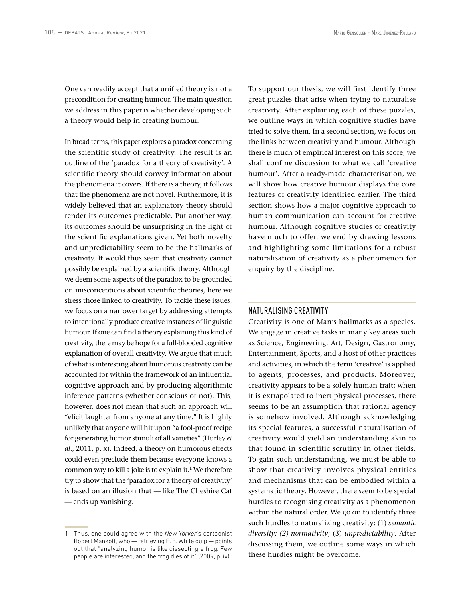One can readily accept that a unified theory is not a precondition for creating humour. The main question we address in this paper is whether developing such a theory would help in creating humour.

In broad terms, this paper explores a paradox concerning the scientific study of creativity. The result is an outline of the 'paradox for a theory of creativity'. A scientific theory should convey information about the phenomena it covers. If there is a theory, it follows that the phenomena are not novel. Furthermore, it is widely believed that an explanatory theory should render its outcomes predictable. Put another way, its outcomes should be unsurprising in the light of the scientific explanations given. Yet both novelty and unpredictability seem to be the hallmarks of creativity. It would thus seem that creativity cannot possibly be explained by a scientific theory. Although we deem some aspects of the paradox to be grounded on misconceptions about scientific theories, here we stress those linked to creativity. To tackle these issues, we focus on a narrower target by addressing attempts to intentionally produce creative instances of linguistic humour. If one can find a theory explaining this kind of creativity, there may be hope for a full-blooded cognitive explanation of overall creativity. We argue that much of what is interesting about humorous creativity can be accounted for within the framework of an influential cognitive approach and by producing algorithmic inference patterns (whether conscious or not). This, however, does not mean that such an approach will "elicit laughter from anyone at any time." It is highly unlikely that anyone will hit upon "a fool-proof recipe for generating humor stimuli of all varieties" (Hurley *et al*., 2011, p. x). Indeed, a theory on humorous effects could even preclude them because everyone knows a common way to kill a joke is to explain it.**<sup>1</sup>** We therefore try to show that the 'paradox for a theory of creativity' is based on an illusion that — like The Cheshire Cat — ends up vanishing.

To support our thesis, we will first identify three great puzzles that arise when trying to naturalise creativity. After explaining each of these puzzles, we outline ways in which cognitive studies have tried to solve them. In a second section, we focus on the links between creativity and humour. Although there is much of empirical interest on this score, we shall confine discussion to what we call 'creative humour'. After a ready-made characterisation, we will show how creative humour displays the core features of creativity identified earlier. The third section shows how a major cognitive approach to human communication can account for creative humour. Although cognitive studies of creativity have much to offer, we end by drawing lessons and highlighting some limitations for a robust naturalisation of creativity as a phenomenon for enquiry by the discipline.

## NATURALISING CREATIVITY

Creativity is one of Man's hallmarks as a species. We engage in creative tasks in many key areas such as Science, Engineering, Art, Design, Gastronomy, Entertainment, Sports, and a host of other practices and activities, in which the term 'creative' is applied to agents, processes, and products. Moreover, creativity appears to be a solely human trait; when it is extrapolated to inert physical processes, there seems to be an assumption that rational agency is somehow involved. Although acknowledging its special features, a successful naturalisation of creativity would yield an understanding akin to that found in scientific scrutiny in other fields. To gain such understanding, we must be able to show that creativity involves physical entities and mechanisms that can be embodied within a systematic theory. However, there seem to be special hurdles to recognising creativity as a phenomenon within the natural order. We go on to identify three such hurdles to naturalizing creativity: (1) *semantic diversity; (2) normativity*; (3) *unpredictability*. After discussing them, we outline some ways in which these hurdles might be overcome.

<sup>1</sup> Thus, one could agree with the *New Yorker*'s cartoonist Robert Mankoff, who — retrieving E. B. White quip — points out that "analyzing humor is like dissecting a frog. Few people are interested, and the frog dies of it" (2009, p. ix).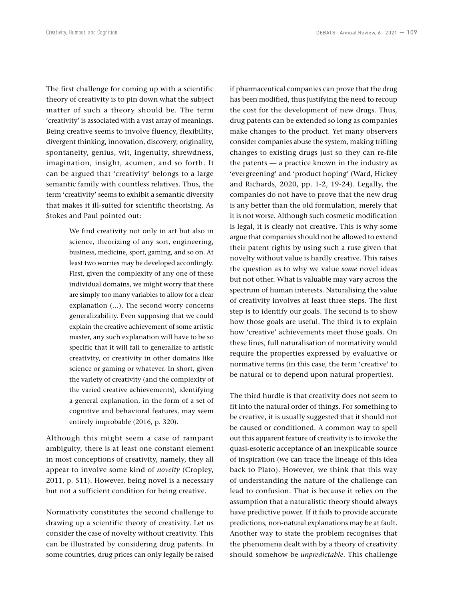The first challenge for coming up with a scientific theory of creativity is to pin down what the subject matter of such a theory should be. The term 'creativity' is associated with a vast array of meanings. Being creative seems to involve fluency, flexibility, divergent thinking, innovation, discovery, originality, spontaneity, genius, wit, ingenuity, shrewdness, imagination, insight, acumen, and so forth. It can be argued that 'creativity' belongs to a large semantic family with countless relatives. Thus, the term 'creativity' seems to exhibit a semantic diversity that makes it ill-suited for scientific theorising. As Stokes and Paul pointed out:

> We find creativity not only in art but also in science, theorizing of any sort, engineering, business, medicine, sport, gaming, and so on. At least two worries may be developed accordingly. First, given the complexity of any one of these individual domains, we might worry that there are simply too many variables to allow for a clear explanation (…). The second worry concerns generalizability. Even supposing that we could explain the creative achievement of some artistic master, any such explanation will have to be so specific that it will fail to generalize to artistic creativity, or creativity in other domains like science or gaming or whatever. In short, given the variety of creativity (and the complexity of the varied creative achievements), identifying a general explanation, in the form of a set of cognitive and behavioral features, may seem entirely improbable (2016, p. 320).

Although this might seem a case of rampant ambiguity, there is at least one constant element in most conceptions of creativity, namely, they all appear to involve some kind of *novelty* (Cropley, 2011, p. 511). However, being novel is a necessary but not a sufficient condition for being creative.

Normativity constitutes the second challenge to drawing up a scientific theory of creativity. Let us consider the case of novelty without creativity. This can be illustrated by considering drug patents. In some countries, drug prices can only legally be raised if pharmaceutical companies can prove that the drug has been modified, thus justifying the need to recoup the cost for the development of new drugs. Thus, drug patents can be extended so long as companies make changes to the product. Yet many observers consider companies abuse the system, making trifling changes to existing drugs just so they can re-file the patents — a practice known in the industry as 'evergreening' and 'product hoping' (Ward, Hickey and Richards, 2020, pp. 1-2, 19-24). Legally, the companies do not have to prove that the new drug is any better than the old formulation, merely that it is not worse. Although such cosmetic modification is legal, it is clearly not creative. This is why some argue that companies should not be allowed to extend their patent rights by using such a ruse given that novelty without value is hardly creative. This raises the question as to why we value *some* novel ideas but not other. What is valuable may vary across the spectrum of human interests. Naturalising the value of creativity involves at least three steps. The first step is to identify our goals. The second is to show how those goals are useful. The third is to explain how 'creative' achievements meet those goals. On these lines, full naturalisation of normativity would require the properties expressed by evaluative or normative terms (in this case, the term 'creative' to be natural or to depend upon natural properties).

The third hurdle is that creativity does not seem to fit into the natural order of things. For something to be creative, it is usually suggested that it should not be caused or conditioned. A common way to spell out this apparent feature of creativity is to invoke the quasi-esoteric acceptance of an inexplicable source of inspiration (we can trace the lineage of this idea back to Plato). However, we think that this way of understanding the nature of the challenge can lead to confusion. That is because it relies on the assumption that a naturalistic theory should always have predictive power. If it fails to provide accurate predictions, non-natural explanations may be at fault. Another way to state the problem recognises that the phenomena dealt with by a theory of creativity should somehow be *unpredictable*. This challenge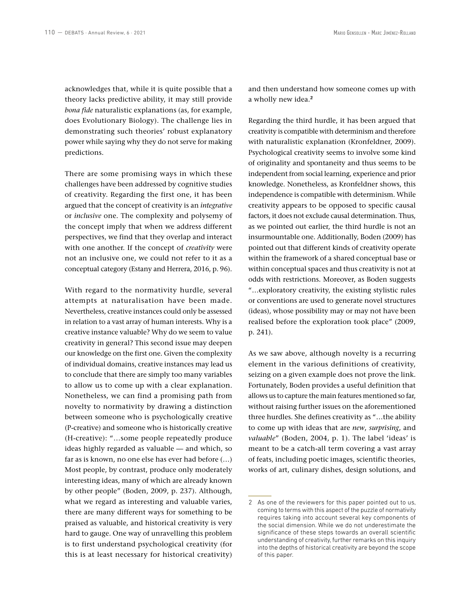acknowledges that, while it is quite possible that a theory lacks predictive ability, it may still provide *bona fide* naturalistic explanations (as, for example, does Evolutionary Biology). The challenge lies in demonstrating such theories' robust explanatory power while saying why they do not serve for making predictions.

There are some promising ways in which these challenges have been addressed by cognitive studies of creativity. Regarding the first one, it has been argued that the concept of creativity is an *integrative* or *inclusive* one. The complexity and polysemy of the concept imply that when we address different perspectives, we find that they overlap and interact with one another. If the concept of *creativity* were not an inclusive one, we could not refer to it as a conceptual category (Estany and Herrera, 2016, p. 96).

With regard to the normativity hurdle, several attempts at naturalisation have been made. Nevertheless, creative instances could only be assessed in relation to a vast array of human interests. Why is a creative instance valuable? Why do we seem to value creativity in general? This second issue may deepen our knowledge on the first one. Given the complexity of individual domains, creative instances may lead us to conclude that there are simply too many variables to allow us to come up with a clear explanation. Nonetheless, we can find a promising path from novelty to normativity by drawing a distinction between someone who is psychologically creative (P-creative) and someone who is historically creative (H-creative): "…some people repeatedly produce ideas highly regarded as valuable — and which, so far as is known, no one else has ever had before (…) Most people, by contrast, produce only moderately interesting ideas, many of which are already known by other people" (Boden, 2009, p. 237). Although, what we regard as interesting and valuable varies, there are many different ways for something to be praised as valuable, and historical creativity is very hard to gauge. One way of unravelling this problem is to first understand psychological creativity (for this is at least necessary for historical creativity)

and then understand how someone comes up with a wholly new idea.**<sup>2</sup>**

Regarding the third hurdle, it has been argued that creativity is compatible with determinism and therefore with naturalistic explanation (Kronfeldner, 2009). Psychological creativity seems to involve some kind of originality and spontaneity and thus seems to be independent from social learning, experience and prior knowledge. Nonetheless, as Kronfeldner shows, this independence is compatible with determinism. While creativity appears to be opposed to specific causal factors, it does not exclude causal determination. Thus, as we pointed out earlier, the third hurdle is not an insurmountable one. Additionally, Boden (2009) has pointed out that different kinds of creativity operate within the framework of a shared conceptual base or within conceptual spaces and thus creativity is not at odds with restrictions. Moreover, as Boden suggests "…exploratory creativity, the existing stylistic rules or conventions are used to generate novel structures (ideas), whose possibility may or may not have been realised before the exploration took place" (2009, p. 241).

As we saw above, although novelty is a recurring element in the various definitions of creativity, seizing on a given example does not prove the link. Fortunately, Boden provides a useful definition that allows us to capture the main features mentioned so far, without raising further issues on the aforementioned three hurdles. She defines creativity as "…the ability to come up with ideas that are *new*, *surprising*, and *valuable*" (Boden, 2004, p. 1). The label 'ideas' is meant to be a catch-all term covering a vast array of feats, including poetic images, scientific theories, works of art, culinary dishes, design solutions, and

<sup>2</sup> As one of the reviewers for this paper pointed out to us, coming to terms with this aspect of the puzzle of normativity requires taking into account several key components of the social dimension. While we do not underestimate the significance of these steps towards an overall scientific understanding of creativity, further remarks on this inquiry into the depths of historical creativity are beyond the scope of this paper.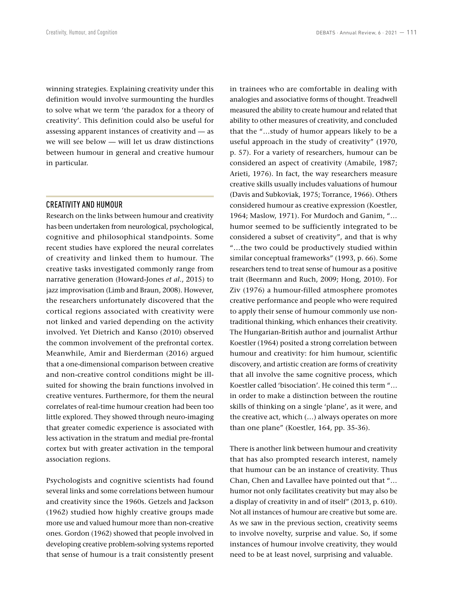winning strategies. Explaining creativity under this definition would involve surmounting the hurdles to solve what we term 'the paradox for a theory of creativity'. This definition could also be useful for assessing apparent instances of creativity and — as we will see below — will let us draw distinctions between humour in general and creative humour in particular.

### CREATIVITY AND HUMOUR

Research on the links between humour and creativity has been undertaken from neurological, psychological, cognitive and philosophical standpoints. Some recent studies have explored the neural correlates of creativity and linked them to humour. The creative tasks investigated commonly range from narrative generation (Howard-Jones *et al*., 2015) to jazz improvisation (Limb and Braun, 2008). However, the researchers unfortunately discovered that the cortical regions associated with creativity were not linked and varied depending on the activity involved. Yet Dietrich and Kanso (2010) observed the common involvement of the prefrontal cortex. Meanwhile, Amir and Bierderman (2016) argued that a one-dimensional comparison between creative and non-creative control conditions might be illsuited for showing the brain functions involved in creative ventures. Furthermore, for them the neural correlates of real-time humour creation had been too little explored. They showed through neuro-imaging that greater comedic experience is associated with less activation in the stratum and medial pre-frontal cortex but with greater activation in the temporal association regions.

Psychologists and cognitive scientists had found several links and some correlations between humour and creativity since the 1960s. Getzels and Jackson (1962) studied how highly creative groups made more use and valued humour more than non-creative ones. Gordon (1962) showed that people involved in developing creative problem-solving systems reported that sense of humour is a trait consistently present in trainees who are comfortable in dealing with analogies and associative forms of thought. Treadwell measured the ability to create humour and related that ability to other measures of creativity, and concluded that the "…study of humor appears likely to be a useful approach in the study of creativity" (1970, p. 57). For a variety of researchers, humour can be considered an aspect of creativity (Amabile, 1987; Arieti, 1976). In fact, the way researchers measure creative skills usually includes valuations of humour (Davis and Subkoviak, 1975; Torrance, 1966). Others considered humour as creative expression (Koestler, 1964; Maslow, 1971). For Murdoch and Ganim, "… humor seemed to be sufficiently integrated to be considered a subset of creativity", and that is why "…the two could be productively studied within similar conceptual frameworks" (1993, p. 66). Some researchers tend to treat sense of humour as a positive trait (Beermann and Ruch, 2009; Hong, 2010). For Ziv (1976) a humour-filled atmosphere promotes creative performance and people who were required to apply their sense of humour commonly use nontraditional thinking, which enhances their creativity. The Hungarian-British author and journalist Arthur Koestler (1964) posited a strong correlation between humour and creativity: for him humour, scientific discovery, and artistic creation are forms of creativity that all involve the same cognitive process, which Koestler called 'bisociation'. He coined this term "… in order to make a distinction between the routine skills of thinking on a single 'plane', as it were, and the creative act, which (…) always operates on more than one plane" (Koestler, 164, pp. 35-36).

There is another link between humour and creativity that has also prompted research interest, namely that humour can be an instance of creativity. Thus Chan, Chen and Lavallee have pointed out that "… humor not only facilitates creativity but may also be a display of creativity in and of itself" (2013, p. 610). Not all instances of humour are creative but some are. As we saw in the previous section, creativity seems to involve novelty, surprise and value. So, if some instances of humour involve creativity, they would need to be at least novel, surprising and valuable.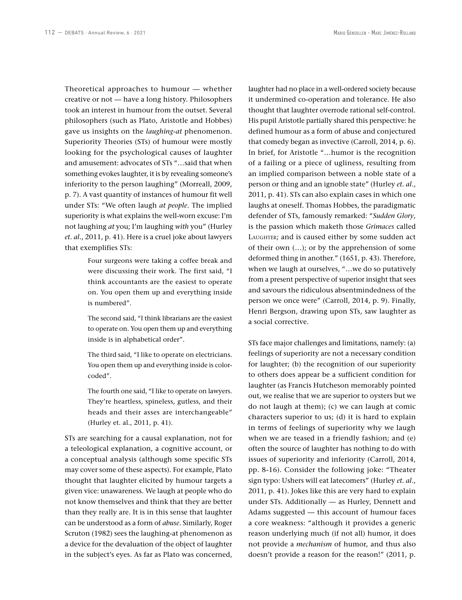Theoretical approaches to humour — whether creative or not — have a long history. Philosophers took an interest in humour from the outset. Several philosophers (such as Plato, Aristotle and Hobbes) gave us insights on the *laughing-at* phenomenon. Superiority Theories (STs) of humour were mostly looking for the psychological causes of laughter and amusement: advocates of STs "…said that when something evokes laughter, it is by revealing someone's inferiority to the person laughing" (Morreall, 2009, p. 7). A vast quantity of instances of humour fit well under STs: "We often laugh *at people*. The implied superiority is what explains the well-worn excuse: I'm not laughing *at* you; I'm laughing *with* you" (Hurley *et. al*., 2011, p. 41). Here is a cruel joke about lawyers that exemplifies STs:

> Four surgeons were taking a coffee break and were discussing their work. The first said, "I think accountants are the easiest to operate on. You open them up and everything inside is numbered".

> The second said, "I think librarians are the easiest to operate on. You open them up and everything inside is in alphabetical order".

> The third said, "I like to operate on electricians. You open them up and everything inside is colorcoded".

> The fourth one said, "I like to operate on lawyers. They're heartless, spineless, gutless, and their heads and their asses are interchangeable" (Hurley et. al., 2011, p. 41).

STs are searching for a causal explanation, not for a teleological explanation, a cognitive account, or a conceptual analysis (although some specific STs may cover some of these aspects). For example, Plato thought that laughter elicited by humour targets a given vice: unawareness. We laugh at people who do not know themselves and think that they are better than they really are. It is in this sense that laughter can be understood as a form of *abuse*. Similarly, Roger Scruton (1982) sees the laughing-at phenomenon as a device for the devaluation of the object of laughter in the subject's eyes. As far as Plato was concerned, laughter had no place in a well-ordered society because it undermined co-operation and tolerance. He also thought that laughter overrode rational self-control. His pupil Aristotle partially shared this perspective: he defined humour as a form of abuse and conjectured that comedy began as invective (Carroll, 2014, p. 6). In brief, for Aristotle "…humor is the recognition of a failing or a piece of ugliness, resulting from an implied comparison between a noble state of a person or thing and an ignoble state" (Hurley *et. al*., 2011, p. 41). STs can also explain cases in which one laughs at oneself. Thomas Hobbes, the paradigmatic defender of STs, famously remarked: "*Sudden Glory*, is the passion which maketh those *Grimaces* called LAUGHTER; and is caused either by some sudden act of their own (…); or by the apprehension of some deformed thing in another." (1651, p. 43). Therefore, when we laugh at ourselves, "…we do so putatively from a present perspective of superior insight that sees and savours the ridiculous absentmindedness of the person we once were" (Carroll, 2014, p. 9). Finally, Henri Bergson, drawing upon STs, saw laughter as a social corrective.

STs face major challenges and limitations, namely: (a) feelings of superiority are not a necessary condition for laughter; (b) the recognition of our superiority to others does appear be a sufficient condition for laughter (as Francis Hutcheson memorably pointed out, we realise that we are superior to oysters but we do not laugh at them); (c) we can laugh at comic characters superior to us; (d) it is hard to explain in terms of feelings of superiority why we laugh when we are teased in a friendly fashion; and (e) often the source of laughter has nothing to do with issues of superiority and inferiority (Carroll, 2014, pp. 8-16). Consider the following joke: "Theater sign typo: Ushers will eat latecomers" (Hurley *et. al*., 2011, p. 41). Jokes like this are very hard to explain under STs. Additionally — as Hurley, Dennett and Adams suggested — this account of humour faces a core weakness: "although it provides a generic reason underlying much (if not all) humor, it does not provide a *mechanism* of humor, and thus also doesn't provide a reason for the reason!" (2011, p.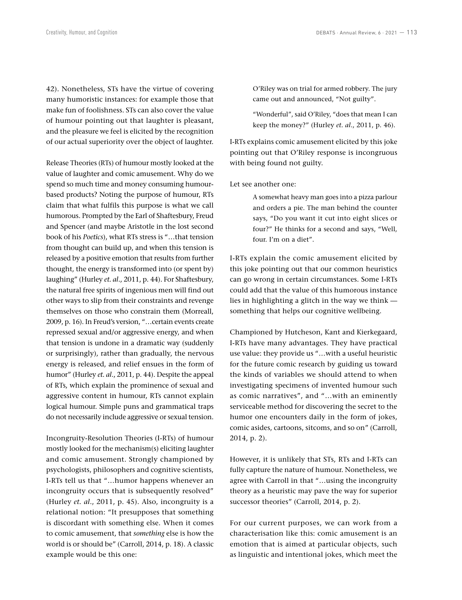42). Nonetheless, STs have the virtue of covering many humoristic instances: for example those that make fun of foolishness. STs can also cover the value of humour pointing out that laughter is pleasant, and the pleasure we feel is elicited by the recognition of our actual superiority over the object of laughter.

Release Theories (RTs) of humour mostly looked at the value of laughter and comic amusement. Why do we spend so much time and money consuming humourbased products? Noting the purpose of humour, RTs claim that what fulfils this purpose is what we call humorous. Prompted by the Earl of Shaftesbury, Freud and Spencer (and maybe Aristotle in the lost second book of his *Poetics*), what RTs stress is "…that tension from thought can build up, and when this tension is released by a positive emotion that results from further thought, the energy is transformed into (or spent by) laughing" (Hurley *et. al*., 2011, p. 44). For Shaftesbury, the natural free spirits of ingenious men will find out other ways to slip from their constraints and revenge themselves on those who constrain them (Morreall, 2009, p. 16). In Freud's version, "…certain events create repressed sexual and/or aggressive energy, and when that tension is undone in a dramatic way (suddenly or surprisingly), rather than gradually, the nervous energy is released, and relief ensues in the form of humor" (Hurley *et. al*., 2011, p. 44). Despite the appeal of RTs, which explain the prominence of sexual and aggressive content in humour, RTs cannot explain logical humour. Simple puns and grammatical traps do not necessarily include aggressive or sexual tension.

Incongruity-Resolution Theories (I-RTs) of humour mostly looked for the mechanism(s) eliciting laughter and comic amusement. Strongly championed by psychologists, philosophers and cognitive scientists, I-RTs tell us that "…humor happens whenever an incongruity occurs that is subsequently resolved" (Hurley *et. al*., 2011, p. 45). Also, incongruity is a relational notion: "It presupposes that something is discordant with something else. When it comes to comic amusement, that *something* else is how the world is or should be" (Carroll, 2014, p. 18). A classic example would be this one:

O'Riley was on trial for armed robbery. The jury came out and announced, "Not guilty".

"Wonderful", said O'Riley, "does that mean I can keep the money?" (Hurley *et. al*., 2011, p. 46).

I-RTs explains comic amusement elicited by this joke pointing out that O'Riley response is incongruous with being found not guilty.

Let see another one:

A somewhat heavy man goes into a pizza parlour and orders a pie. The man behind the counter says, "Do you want it cut into eight slices or four?" He thinks for a second and says, "Well, four. I'm on a diet".

I-RTs explain the comic amusement elicited by this joke pointing out that our common heuristics can go wrong in certain circumstances. Some I-RTs could add that the value of this humorous instance lies in highlighting a glitch in the way we think something that helps our cognitive wellbeing.

Championed by Hutcheson, Kant and Kierkegaard, I-RTs have many advantages. They have practical use value: they provide us "…with a useful heuristic for the future comic research by guiding us toward the kinds of variables we should attend to when investigating specimens of invented humour such as comic narratives", and "…with an eminently serviceable method for discovering the secret to the humor one encounters daily in the form of jokes, comic asides, cartoons, sitcoms, and so on" (Carroll, 2014, p. 2).

However, it is unlikely that STs, RTs and I-RTs can fully capture the nature of humour. Nonetheless, we agree with Carroll in that "…using the incongruity theory as a heuristic may pave the way for superior successor theories" (Carroll, 2014, p. 2).

For our current purposes, we can work from a characterisation like this: comic amusement is an emotion that is aimed at particular objects, such as linguistic and intentional jokes, which meet the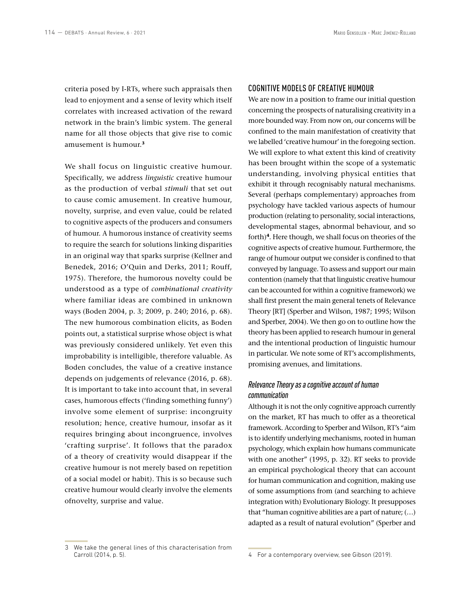criteria posed by I-RTs, where such appraisals then lead to enjoyment and a sense of levity which itself correlates with increased activation of the reward network in the brain's limbic system. The general name for all those objects that give rise to comic amusement is humour.**<sup>3</sup>**

We shall focus on linguistic creative humour. Specifically, we address *linguistic* creative humour as the production of verbal *stimuli* that set out to cause comic amusement. In creative humour, novelty, surprise, and even value, could be related to cognitive aspects of the producers and consumers of humour. A humorous instance of creativity seems to require the search for solutions linking disparities in an original way that sparks surprise (Kellner and Benedek, 2016; O'Quin and Derks, 2011; Rouff, 1975). Therefore, the humorous novelty could be understood as a type of *combinational creativity* where familiar ideas are combined in unknown ways (Boden 2004, p. 3; 2009, p. 240; 2016, p. 68). The new humorous combination elicits, as Boden points out, a statistical surprise whose object is what was previously considered unlikely. Yet even this improbability is intelligible, therefore valuable. As Boden concludes, the value of a creative instance depends on judgements of relevance (2016, p. 68). It is important to take into account that, in several cases, humorous effects ('finding something funny') involve some element of surprise: incongruity resolution; hence, creative humour, insofar as it requires bringing about incongruence, involves 'crafting surprise'. It follows that the paradox of a theory of creativity would disappear if the creative humour is not merely based on repetition of a social model or habit). This is so because such creative humour would clearly involve the elements ofnovelty, surprise and value.

#### COGNITIVE MODELS OF CREATIVE HUMOUR

We are now in a position to frame our initial question concerning the prospects of naturalising creativity in a more bounded way. From now on, our concerns will be confined to the main manifestation of creativity that we labelled 'creative humour' in the foregoing section. We will explore to what extent this kind of creativity has been brought within the scope of a systematic understanding, involving physical entities that exhibit it through recognisably natural mechanisms. Several (perhaps complementary) approaches from psychology have tackled various aspects of humour production (relating to personality, social interactions, developmental stages, abnormal behaviour, and so forth)**<sup>4</sup>**. Here though, we shall focus on theories of the cognitive aspects of creative humour. Furthermore, the range of humour output we consider is confined to that conveyed by language. To assess and support our main contention (namely that that linguistic creative humour can be accounted for within a cognitive framework) we shall first present the main general tenets of Relevance Theory [RT] (Sperber and Wilson, 1987; 1995; Wilson and Sperber, 2004). We then go on to outline how the theory has been applied to research humour in general and the intentional production of linguistic humour in particular. We note some of RT's accomplishments, promising avenues, and limitations.

## *Relevance Theory as a cognitive account of human communication*

Although it is not the only cognitive approach currently on the market, RT has much to offer as a theoretical framework. According to Sperber and Wilson, RT's "aim is to identify underlying mechanisms, rooted in human psychology, which explain how humans communicate with one another" (1995, p. 32). RT seeks to provide an empirical psychological theory that can account for human communication and cognition, making use of some assumptions from (and searching to achieve integration with) Evolutionary Biology. It presupposes that "human cognitive abilities are a part of nature; (…) adapted as a result of natural evolution" (Sperber and

<sup>3</sup> We take the general lines of this characterisation from Carroll (2014, p. 5).

<sup>4</sup> For a contemporary overview, see Gibson (2019).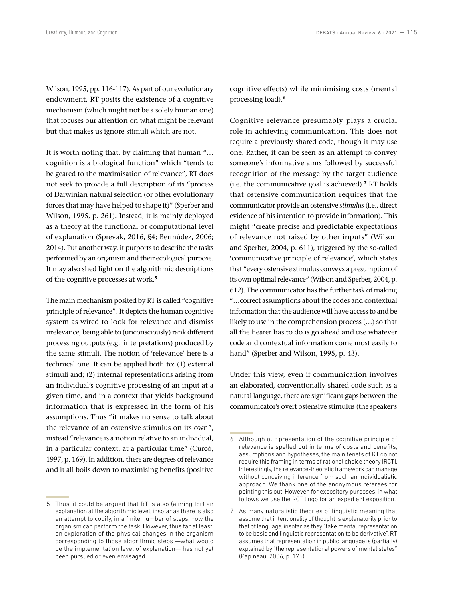Wilson, 1995, pp. 116-117). As part of our evolutionary endowment, RT posits the existence of a cognitive mechanism (which might not be a solely human one) that focuses our attention on what might be relevant but that makes us ignore stimuli which are not.

It is worth noting that, by claiming that human "… cognition is a biological function" which "tends to be geared to the maximisation of relevance", RT does not seek to provide a full description of its "process of Darwinian natural selection (or other evolutionary forces that may have helped to shape it)" (Sperber and Wilson, 1995, p. 261). Instead, it is mainly deployed as a theory at the functional or computational level of explanation (Sprevak, 2016, §4; Bermúdez, 2006; 2014). Put another way, it purports to describe the tasks performed by an organism and their ecological purpose. It may also shed light on the algorithmic descriptions of the cognitive processes at work.**<sup>5</sup>**

The main mechanism posited by RT is called "cognitive principle of relevance". It depicts the human cognitive system as wired to look for relevance and dismiss irrelevance, being able to (unconsciously) rank different processing outputs (e.g., interpretations) produced by the same stimuli. The notion of 'relevance' here is a technical one. It can be applied both to: (1) external stimuli and; (2) internal representations arising from an individual's cognitive processing of an input at a given time, and in a context that yields background information that is expressed in the form of his assumptions. Thus "it makes no sense to talk about the relevance of an ostensive stimulus on its own", instead "relevance is a notion relative to an individual, in a particular context, at a particular time" (Curcó, 1997, p. 169). In addition, there are degrees of relevance and it all boils down to maximising benefits (positive

cognitive effects) while minimising costs (mental processing load).**<sup>6</sup>**

Cognitive relevance presumably plays a crucial role in achieving communication. This does not require a previously shared code, though it may use one. Rather, it can be seen as an attempt to convey someone's informative aims followed by successful recognition of the message by the target audience (i.e. the communicative goal is achieved).**<sup>7</sup>** RT holds that ostensive communication requires that the communicator provide an ostensive *stimulus* (i.e., direct evidence of his intention to provide information). This might "create precise and predictable expectations of relevance not raised by other inputs" (Wilson and Sperber, 2004, p. 611), triggered by the so-called 'communicative principle of relevance', which states that "every ostensive stimulus conveys a presumption of its own optimal relevance" (Wilson and Sperber, 2004, p. 612). The communicator has the further task of making "…correct assumptions about the codes and contextual information that the audience will have access to and be likely to use in the comprehension process (…) so that all the hearer has to do is go ahead and use whatever code and contextual information come most easily to hand" (Sperber and Wilson, 1995, p. 43).

Under this view, even if communication involves an elaborated, conventionally shared code such as a natural language, there are significant gaps between the communicator's overt ostensive stimulus (the speaker's

<sup>5</sup> Thus, it could be argued that RT is also (aiming for) an explanation at the algorithmic level, insofar as there is also an attempt to codify, in a finite number of steps, how the organism can perform the task. However, thus far at least, an exploration of the physical changes in the organism corresponding to those algorithmic steps —what would be the implementation level of explanation— has not yet been pursued or even envisaged.

<sup>6</sup> Although our presentation of the cognitive principle of relevance is spelled out in terms of costs and benefits, assumptions and hypotheses, the main tenets of RT do not require this framing in terms of rational choice theory [RCT]. Interestingly, the relevance-theoretic framework can manage without conceiving inference from such an individualistic approach. We thank one of the anonymous referees for pointing this out. However, for expository purposes, in what follows we use the RCT lingo for an expedient exposition.

<sup>7</sup> As many naturalistic theories of linguistic meaning that assume that intentionality of thought is explanatorily prior to that of language, insofar as they "take mental representation to be basic and linguistic representation to be derivative", RT assumes that representation in public language is (partially) explained by "the representational powers of mental states" (Papineau, 2006, p. 175).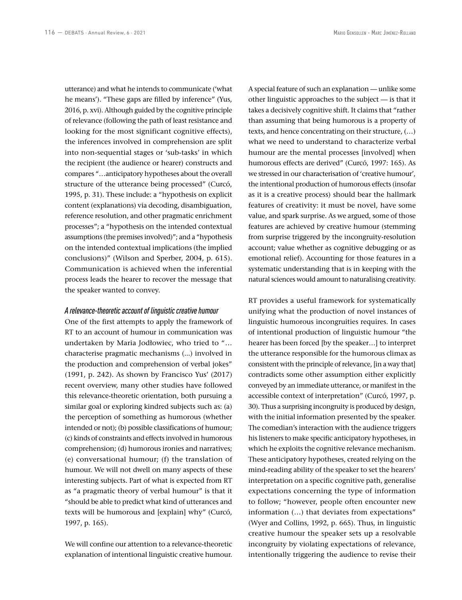utterance) and what he intends to communicate ('what he means'). "These gaps are filled by inference" (Yus, 2016, p. xvi). Although guided by the cognitive principle of relevance (following the path of least resistance and looking for the most significant cognitive effects), the inferences involved in comprehension are split into non-sequential stages or 'sub-tasks' in which the recipient (the audience or hearer) constructs and compares "…anticipatory hypotheses about the overall structure of the utterance being processed" (Curcó, 1995, p. 31). These include: a "hypothesis on explicit content (explanations) via decoding, disambiguation, reference resolution, and other pragmatic enrichment processes"; a "hypothesis on the intended contextual assumptions (the premises involved)"; and a "hypothesis on the intended contextual implications (the implied conclusions)" (Wilson and Sperber, 2004, p. 615). Communication is achieved when the inferential process leads the hearer to recover the message that the speaker wanted to convey.

#### *A relevance-theoretic account of linguistic creative humour*

One of the first attempts to apply the framework of RT to an account of humour in communication was undertaken by Maria Jodłowiec, who tried to "… characterise pragmatic mechanisms (...) involved in the production and comprehension of verbal jokes" (1991, p. 242). As shown by Francisco Yus' (2017) recent overview, many other studies have followed this relevance-theoretic orientation, both pursuing a similar goal or exploring kindred subjects such as: (a) the perception of something as humorous (whether intended or not); (b) possible classifications of humour; (c) kinds of constraints and effects involved in humorous comprehension; (d) humorous ironies and narratives; (e) conversational humour; (f) the translation of humour. We will not dwell on many aspects of these interesting subjects. Part of what is expected from RT as "a pragmatic theory of verbal humour" is that it "should be able to predict what kind of utterances and texts will be humorous and [explain] why" (Curcó, 1997, p. 165).

We will confine our attention to a relevance-theoretic explanation of intentional linguistic creative humour.

A special feature of such an explanation — unlike some other linguistic approaches to the subject — is that it takes a decisively cognitive shift. It claims that "rather than assuming that being humorous is a property of texts, and hence concentrating on their structure, (…) what we need to understand to characterize verbal humour are the mental processes [involved] when humorous effects are derived" (Curcó, 1997: 165). As we stressed in our characterisation of 'creative humour', the intentional production of humorous effects (insofar as it is a creative process) should bear the hallmark features of creativity: it must be novel, have some value, and spark surprise. As we argued, some of those features are achieved by creative humour (stemming from surprise triggered by the incongruity-resolution account; value whether as cognitive debugging or as emotional relief). Accounting for those features in a systematic understanding that is in keeping with the natural sciences would amount to naturalising creativity.

RT provides a useful framework for systematically unifying what the production of novel instances of linguistic humorous incongruities requires. In cases of intentional production of linguistic humour "the hearer has been forced [by the speaker…] to interpret the utterance responsible for the humorous climax as consistent with the principle of relevance, [in a way that] contradicts some other assumption either explicitly conveyed by an immediate utterance, or manifest in the accessible context of interpretation" (Curcó, 1997, p. 30). Thus a surprising incongruity is produced by design, with the initial information presented by the speaker. The comedian's interaction with the audience triggers his listeners to make specific anticipatory hypotheses, in which he exploits the cognitive relevance mechanism. These anticipatory hypotheses, created relying on the mind-reading ability of the speaker to set the hearers' interpretation on a specific cognitive path, generalise expectations concerning the type of information to follow; "however, people often encounter new information (…) that deviates from expectations" (Wyer and Collins, 1992, p. 665). Thus, in linguistic creative humour the speaker sets up a resolvable incongruity by violating expectations of relevance, intentionally triggering the audience to revise their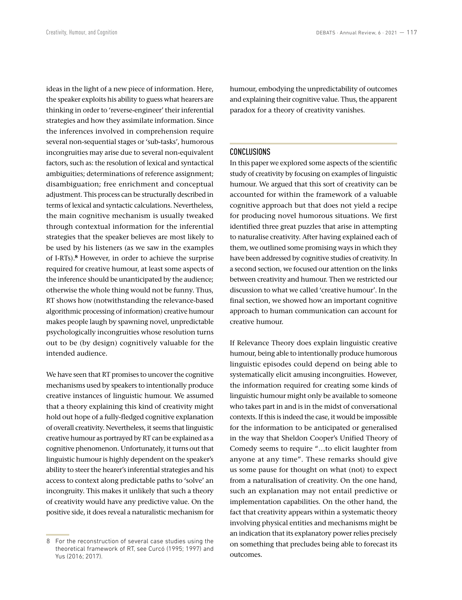ideas in the light of a new piece of information. Here, the speaker exploits his ability to guess what hearers are thinking in order to 'reverse-engineer' their inferential strategies and how they assimilate information. Since the inferences involved in comprehension require several non-sequential stages or 'sub-tasks', humorous incongruities may arise due to several non-equivalent factors, such as: the resolution of lexical and syntactical ambiguities; determinations of reference assignment; disambiguation; free enrichment and conceptual adjustment. This process can be structurally described in terms of lexical and syntactic calculations. Nevertheless, the main cognitive mechanism is usually tweaked through contextual information for the inferential strategies that the speaker believes are most likely to be used by his listeners (as we saw in the examples of I-RTs).**<sup>8</sup>** However, in order to achieve the surprise required for creative humour, at least some aspects of the inference should be unanticipated by the audience; otherwise the whole thing would not be funny. Thus, RT shows how (notwithstanding the relevance-based algorithmic processing of information) creative humour makes people laugh by spawning novel, unpredictable psychologically incongruities whose resolution turns out to be (by design) cognitively valuable for the intended audience.

We have seen that RT promises to uncover the cognitive mechanisms used by speakers to intentionally produce creative instances of linguistic humour. We assumed that a theory explaining this kind of creativity might hold out hope of a fully-fledged cognitive explanation of overall creativity. Nevertheless, it seems that linguistic creative humour as portrayed by RT can be explained as a cognitive phenomenon. Unfortunately, it turns out that linguistic humour is highly dependent on the speaker's ability to steer the hearer's inferential strategies and his access to context along predictable paths to 'solve' an incongruity. This makes it unlikely that such a theory of creativity would have any predictive value. On the positive side, it does reveal a naturalistic mechanism for humour, embodying the unpredictability of outcomes and explaining their cognitive value. Thus, the apparent paradox for a theory of creativity vanishes.

#### CONCLUSIONS

In this paper we explored some aspects of the scientific study of creativity by focusing on examples of linguistic humour. We argued that this sort of creativity can be accounted for within the framework of a valuable cognitive approach but that does not yield a recipe for producing novel humorous situations. We first identified three great puzzles that arise in attempting to naturalise creativity. After having explained each of them, we outlined some promising ways in which they have been addressed by cognitive studies of creativity. In a second section, we focused our attention on the links between creativity and humour. Then we restricted our discussion to what we called 'creative humour'. In the final section, we showed how an important cognitive approach to human communication can account for creative humour.

If Relevance Theory does explain linguistic creative humour, being able to intentionally produce humorous linguistic episodes could depend on being able to systematically elicit amusing incongruities. However, the information required for creating some kinds of linguistic humour might only be available to someone who takes part in and is in the midst of conversational contexts. If this is indeed the case, it would be impossible for the information to be anticipated or generalised in the way that Sheldon Cooper's Unified Theory of Comedy seems to require "…to elicit laughter from anyone at any time". These remarks should give us some pause for thought on what (not) to expect from a naturalisation of creativity. On the one hand, such an explanation may not entail predictive or implementation capabilities. On the other hand, the fact that creativity appears within a systematic theory involving physical entities and mechanisms might be an indication that its explanatory power relies precisely on something that precludes being able to forecast its outcomes.

<sup>8</sup> For the reconstruction of several case studies using the theoretical framework of RT, see Curcó (1995; 1997) and Yus (2016; 2017).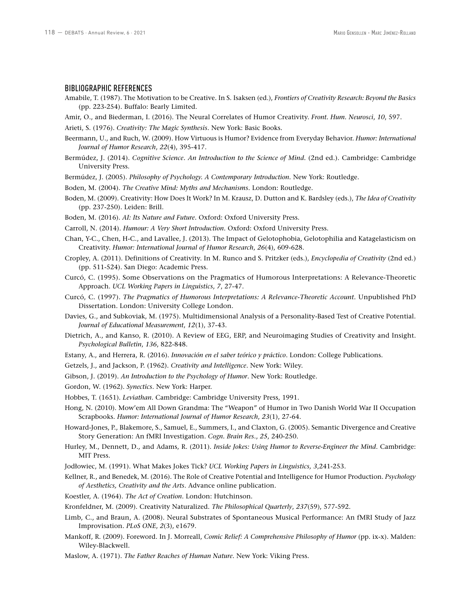#### BIBLIOGRAPHIC REFERENCES

- Amabile, T. (1987). The Motivation to be Creative. In S. Isaksen (ed.), *Frontiers of Creativity Research: Beyond the Basics* (pp. 223-254). Buffalo: Bearly Limited.
- Amir, O., and Biederman, I. (2016). The Neural Correlates of Humor Creativity. *Front. Hum. Neurosci*, *10*, 597.
- Arieti, S. (1976). *Creativity: The Magic Synthesis*. New York: Basic Books.
- Beermann, U., and Ruch, W. (2009). How Virtuous is Humor? Evidence from Everyday Behavior. *Humor: International Journal of Humor Research*, *22*(4), 395-417.
- Bermúdez, J. (2014). *Cognitive Science. An Introduction to the Science of Mind.* (2nd ed.). Cambridge: Cambridge University Press.
- Bermúdez, J. (2005). *Philosophy of Psychology. A Contemporary Introduction.* New York: Routledge.
- Boden, M. (2004). *The Creative Mind: Myths and Mechanisms*. London: Routledge.
- Boden, M. (2009). Creativity: How Does It Work? In M. Krausz, D. Dutton and K. Bardsley (eds.), *The Idea of Creativity* (pp. 237-250). Leiden: Brill.
- Boden, M. (2016). *AI: Its Nature and Future*. Oxford: Oxford University Press.
- Carroll, N. (2014). *Humour: A Very Short Introduction*. Oxford: Oxford University Press.
- Chan, Y-C., Chen, H-C., and Lavallee, J. (2013). The Impact of Gelotophobia, Gelotophilia and Katagelasticism on Creativity. *Humor: International Journal of Humor Research*, *26*(4), 609-628.
- Cropley, A. (2011). Definitions of Creativity. In M. Runco and S. Pritzker (eds.), *Encyclopedia of Creativity* (2nd ed.) (pp. 511-524). San Diego: Academic Press.
- Curcó, C. (1995). Some Observations on the Pragmatics of Humorous Interpretations: A Relevance-Theoretic Approach. *UCL Working Papers in Linguistics*, *7*, 27-47.
- Curcó, C. (1997). *The Pragmatics of Humorous Interpretations: A Relevance-Theoretic Account*. Unpublished PhD Dissertation. London: University College London.
- Davies, G., and Subkoviak, M. (1975). Multidimensional Analysis of a Personality-Based Test of Creative Potential. *Journal of Educational Measurement*, *12*(1), 37-43.
- Dietrich, A., and Kanso, R. (2010). A Review of EEG, ERP, and Neuroimaging Studies of Creativity and Insight. *Psychological Bulletin*, *136*, 822-848.
- Estany, A., and Herrera, R. (2016). *Innovación en el saber teórico y práctico*. London: College Publications.
- Getzels, J., and Jackson, P. (1962). *Creativity and Intelligence*. New York: Wiley.
- Gibson, J. (2019). *An Introduction to the Psychology of Humor*. New York: Routledge.
- Gordon, W. (1962). *Synectics*. New York: Harper.
- Hobbes, T. (1651). *Leviathan*. Cambridge: Cambridge University Press, 1991.
- Hong, N. (2010). Mow'em All Down Grandma: The "Weapon" of Humor in Two Danish World War II Occupation Scrapbooks. *Humor: International Journal of Humor Research*, *23*(1), 27-64.
- Howard-Jones, P., Blakemore, S., Samuel, E., Summers, I., and Claxton, G. (2005). Semantic Divergence and Creative Story Generation: An fMRI Investigation. *Cogn. Brain Res*., *25*, 240-250.
- Hurley, M., Dennett, D., and Adams, R. (2011). *Inside Jokes: Using Humor to Reverse-Engineer the Mind*. Cambridge: MIT Press.
- Jodłowiec, M. (1991). What Makes Jokes Tick? *UCL Working Papers in Linguistics, 3*,241-253.
- Kellner, R., and Benedek, M. (2016). The Role of Creative Potential and Intelligence for Humor Production. *Psychology of Aesthetics, Creativity and the Arts*. Advance online publication.
- Koestler, A. (1964). *The Act of Creation*. London: Hutchinson.

Kronfeldner, M. (2009). Creativity Naturalized. *The Philosophical Quarterly*, *237*(59), 577-592.

- Limb, C., and Braun, A. (2008). Neural Substrates of Spontaneous Musical Performance: An fMRI Study of Jazz Improvisation. *PLoS ONE*, *2*(3), e1679.
- Mankoff, R. (2009). Foreword. In J. Morreall, *Comic Relief: A Comprehensive Philosophy of Humor* (pp. ix-x). Malden: Wiley-Blackwell.
- Maslow, A. (1971). *The Father Reaches of Human Nature*. New York: Viking Press.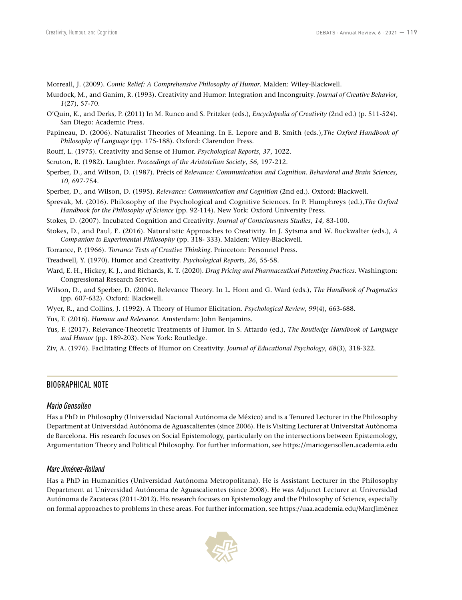Morreall, J. (2009). *Comic Relief: A Comprehensive Philosophy of Humor*. Malden: Wiley-Blackwell.

- Murdock, M., and Ganim, R. (1993). Creativity and Humor: Integration and Incongruity. *Journal of Creative Behavior*, *1*(27), 57-70.
- O'Quin, K., and Derks, P. (2011) In M. Runco and S. Pritzker (eds.), *Encyclopedia of Creativity* (2nd ed.) (p. 511-524). San Diego: Academic Press.
- Papineau, D. (2006). Naturalist Theories of Meaning. In E. Lepore and B. Smith (eds.),*The Oxford Handbook of Philosophy of Language* (pp. 175-188)*.* Oxford: Clarendon Press.
- Rouff, L. (1975). Creativity and Sense of Humor. *Psychological Reports*, *37*, 1022.
- Scruton, R. (1982). Laughter. *Proceedings of the Aristotelian Society*, *56*, 197-212.
- Sperber, D., and Wilson, D. (1987). Précis of *Relevance: Communication and Cognition*. *Behavioral and Brain Sciences, 10*, 697-754.
- Sperber, D., and Wilson, D. (1995). *Relevance: Communication and Cognition* (2nd ed.). Oxford: Blackwell.
- Sprevak, M. (2016). Philosophy of the Psychological and Cognitive Sciences. In P. Humphreys (ed.),*The Oxford Handbook for the Philosophy of Science* (pp. 92-114). New York: Oxford University Press.
- Stokes, D. (2007). Incubated Cognition and Creativity. *Journal of Consciousness Studies*, *14*, 83-100.
- Stokes, D., and Paul, E. (2016). Naturalistic Approaches to Creativity. In J. Sytsma and W. Buckwalter (eds.), *A Companion to Experimental Philosophy* (pp. 318- 333). Malden: Wiley-Blackwell.
- Torrance, P. (1966). *Torrance Tests of Creative Thinking*. Princeton: Personnel Press.
- Treadwell, Y. (1970). Humor and Creativity. *Psychological Reports*, *26*, 55-58.
- Ward, E. H., Hickey, K. J., and Richards, K. T. (2020). *Drug Pricing and Pharmaceutical Patenting Practices.* Washington: Congressional Research Service.
- Wilson, D., and Sperber, D. (2004). Relevance Theory. In L. Horn and G. Ward (eds.), *The Handbook of Pragmatics* (pp. 607-632). Oxford: Blackwell.
- Wyer, R., and Collins, J. (1992). A Theory of Humor Elicitation. *Psychological Review*, *99*(4), 663-688.
- Yus, F. (2016). *Humour and Relevance*. Amsterdam: John Benjamins.
- Yus, F. (2017). Relevance-Theoretic Treatments of Humor. In S. Attardo (ed.), *The Routledge Handbook of Language and Humor* (pp. 189-203). New York: Routledge.
- Ziv, A. (1976). Facilitating Effects of Humor on Creativity. *Journal of Educational Psychology*, *68*(3), 318-322.

#### BIOGRAPHICAL NOTE

#### *Mario Gensollen*

Has a PhD in Philosophy (Universidad Nacional Autónoma de México) and is a Tenured Lecturer in the Philosophy Department at Universidad Autónoma de Aguascalientes (since 2006). He is Visiting Lecturer at Universitat Autònoma de Barcelona. His research focuses on Social Epistemology, particularly on the intersections between Epistemology, Argumentation Theory and Political Philosophy. For further information, see https://mariogensollen.academia.edu

#### *Marc Jiménez-Rolland*

Has a PhD in Humanities (Universidad Autónoma Metropolitana). He is Assistant Lecturer in the Philosophy Department at Universidad Autónoma de Aguascalientes (since 2008). He was Adjunct Lecturer at Universidad Autónoma de Zacatecas (2011-2012). His research focuses on Epistemology and the Philosophy of Science, especially on formal approaches to problems in these areas. For further information, see https://uaa.academia.edu/MarcJiménez